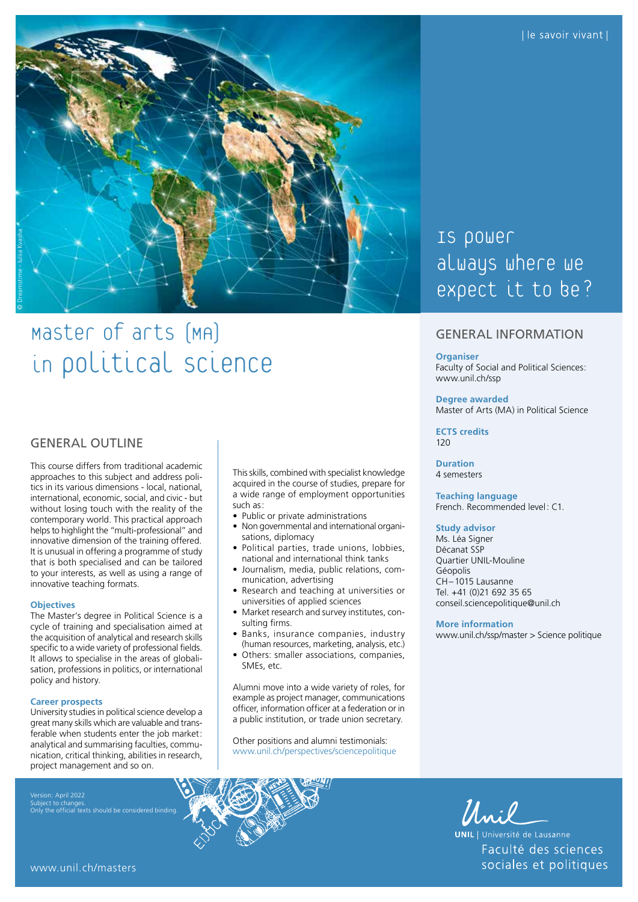

# Master of arts (MA) in political Science

## **GENERAL OUTLINE**

This course differs from traditional academic approaches to this subject and address politics in its various dimensions - local, national, international, economic, social, and civic - but without losing touch with the reality of the contemporary world. This practical approach helps to highlight the "multi-professional" and innovative dimension of the training offered. It is unusual in offering a programme of study that is both specialised and can be tailored to your interests, as well as using a range of innovative teaching formats.

#### **Objectives**

The Master's degree in Political Science is a cycle of training and specialisation aimed at the acquisition of analytical and research skills specific to a wide variety of professional fields. It allows to specialise in the areas of globalisation, professions in politics, or international policy and history.

#### **Career prospects**

University studies in political science develop a great many skills which are valuable and transferable when students enter the job market: analytical and summarising faculties, communication, critical thinking, abilities in research, project management and so on.

Subject to changes. Only the official texts should be considered binding.

This skills, combined with specialist knowledge acquired in the course of studies, prepare for a wide range of employment opportunities such as:

- Public or private administrations
- Non governmental and international organisations, diplomacy
- Political parties, trade unions, lobbies, national and international think tanks
- Journalism, media, public relations, communication, advertising
- Research and teaching at universities or universities of applied sciences
- Market research and survey institutes, consulting firms.
- Banks, insurance companies, industry (human resources, marketing, analysis, etc.)
- Others: smaller associations, companies, SMEs, etc.

Alumni move into a wide variety of roles, for example as project manager, communications officer, information officer at a federation or in a public institution, or trade union secretary.

Other positions and alumni testimonials: [www.unil.ch/perspectives/sciencepolitique](http://www.unil.ch/perspectives/sciencepolitique)



### GENERAL INFORMATION

#### **Organiser**

Faculty of Social and Political Sciences: [www.unil.ch/ssp](http://www.unil.ch/ssp)

#### **Degree awarded**

Master of Arts (MA) in Political Science

**ECTS credits**  $120$ 

**Duration** 4 semesters

**Teaching language** French. Recommended level: C1.

#### **Study advisor**

Ms. Léa Signer Décanat SSP Quartier UNIL-Mouline Géopolis CH–1015 Lausanne Tel. +41 (0)21 692 35 65 [conseil.sciencepolitique@unil.ch](mailto:conseil.sciencepolitique@unil.ch)

#### **More information**

[www.unil.ch/ssp/master](http://www.unil.ch/ssp/master) > Science politique



**UNIL** | Université de Lausanne Faculté des sciences sociales et politiques